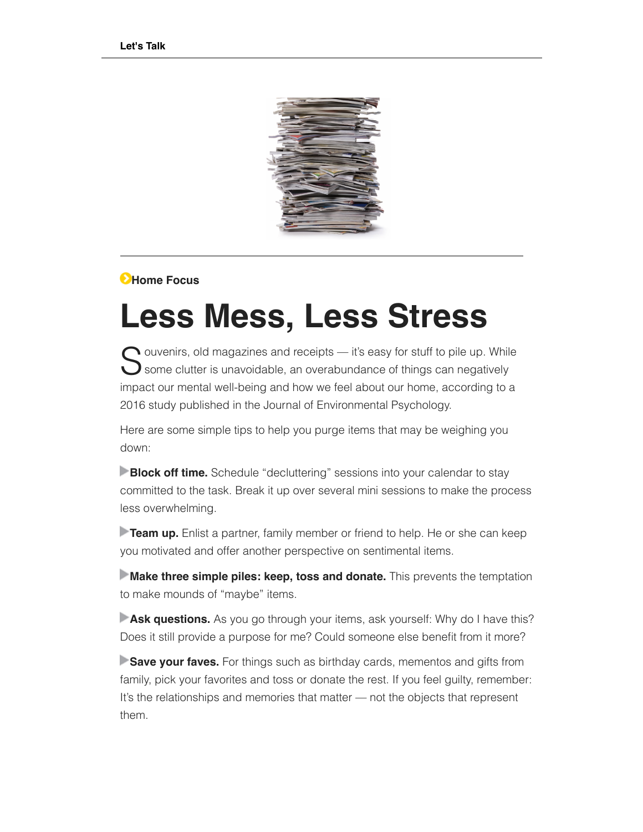

# **D**Home Focus

# **Less Mess, Less Stress**

Souvenirs, old magazines and receipts — it's easy for stuff to pile up. While<br>Some clutter is unavoidable, an overabundance of things can negatively  $\sum$  some clutter is unavoidable, an overabundance of things can negatively impact our mental well-being and how we feel about our home, according to a 2016 study published in the Journal of Environmental Psychology.

Here are some simple tips to help you purge items that may be weighing you down:

**Block off time.** Schedule "decluttering" sessions into your calendar to stay committed to the task. Break it up over several mini sessions to make the process less overwhelming.

**Team up.** Enlist a partner, family member or friend to help. He or she can keep you motivated and offer another perspective on sentimental items.

**Make three simple piles: keep, toss and donate.** This prevents the temptation to make mounds of "maybe" items.

**Ask questions.** As you go through your items, ask yourself: Why do I have this? Does it still provide a purpose for me? Could someone else benefit from it more?

**Save your faves.** For things such as birthday cards, mementos and gifts from family, pick your favorites and toss or donate the rest. If you feel guilty, remember: It's the relationships and memories that matter — not the objects that represent them.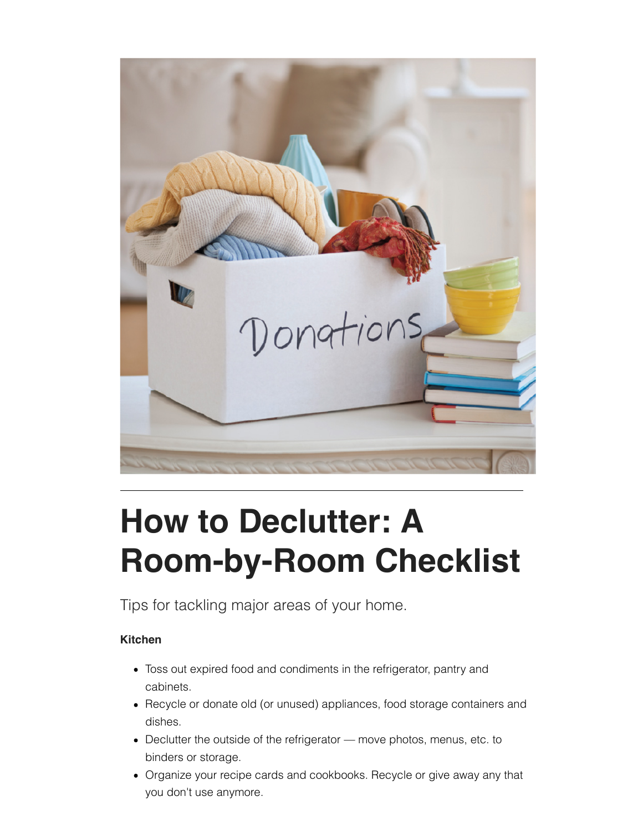

# **How to Declutter: A Room-by-Room Checklist**

Tips for tackling major areas of your home.

# **Kitchen**

- Toss out expired food and condiments in the refrigerator, pantry and cabinets.
- Recycle or donate old (or unused) appliances, food storage containers and dishes.
- Declutter the outside of the refrigerator move photos, menus, etc. to binders or storage.
- Organize your recipe cards and cookbooks. Recycle or give away any that you don't use anymore.